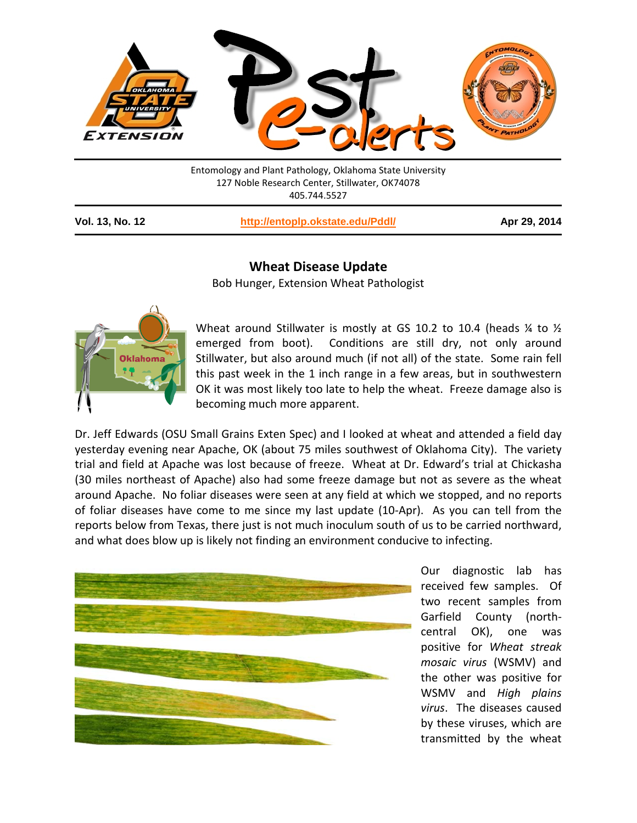

127 Noble Research Center, Stillwater, OK74078 405.744.5527

**Vol. 13, No. 12 <http://entoplp.okstate.edu/Pddl/> Apr 29, 2014**

## **Wheat Disease Update**

Bob Hunger, Extension Wheat Pathologist



Wheat around Stillwater is mostly at GS 10.2 to 10.4 (heads  $\frac{1}{4}$  to  $\frac{1}{2}$ emerged from boot). Conditions are still dry, not only around Stillwater, but also around much (if not all) of the state. Some rain fell this past week in the 1 inch range in a few areas, but in southwestern OK it was most likely too late to help the wheat. Freeze damage also is becoming much more apparent.

Dr. Jeff Edwards (OSU Small Grains Exten Spec) and I looked at wheat and attended a field day yesterday evening near Apache, OK (about 75 miles southwest of Oklahoma City). The variety trial and field at Apache was lost because of freeze. Wheat at Dr. Edward's trial at Chickasha (30 miles northeast of Apache) also had some freeze damage but not as severe as the wheat around Apache. No foliar diseases were seen at any field at which we stopped, and no reports of foliar diseases have come to me since my last update (10-Apr). As you can tell from the reports below from Texas, there just is not much inoculum south of us to be carried northward, and what does blow up is likely not finding an environment conducive to infecting.



Our diagnostic lab has received few samples. Of two recent samples from Garfield County (northcentral OK), one was positive for *Wheat streak mosaic virus* (WSMV) and the other was positive for WSMV and *High plains virus*. The diseases caused by these viruses, which are transmitted by the wheat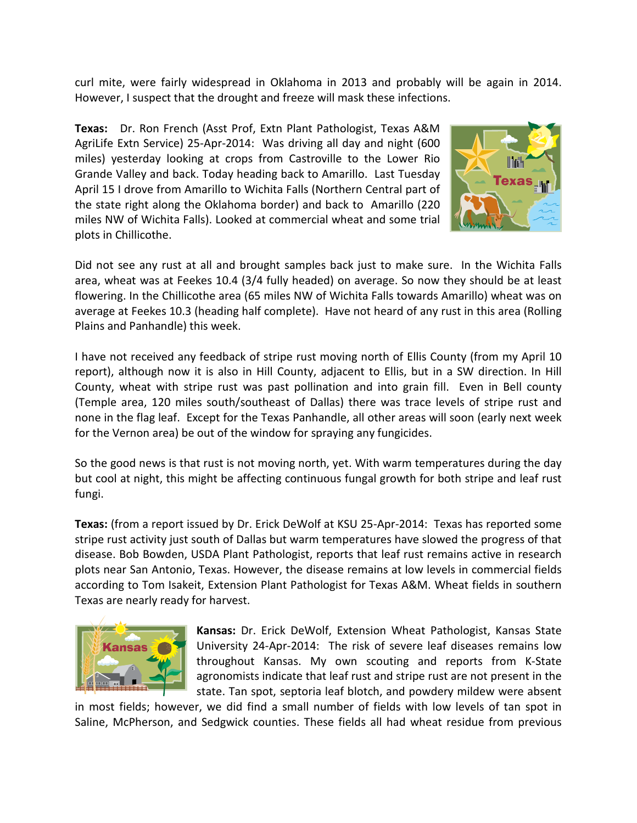curl mite, were fairly widespread in Oklahoma in 2013 and probably will be again in 2014. However, I suspect that the drought and freeze will mask these infections.

**Texas:** Dr. Ron French (Asst Prof, Extn Plant Pathologist, Texas A&M AgriLife Extn Service) 25-Apr-2014: Was driving all day and night (600 miles) yesterday looking at crops from Castroville to the Lower Rio Grande Valley and back. Today heading back to Amarillo. Last Tuesday April 15 I drove from Amarillo to Wichita Falls (Northern Central part of the state right along the Oklahoma border) and back to Amarillo (220 miles NW of Wichita Falls). Looked at commercial wheat and some trial plots in Chillicothe.



Did not see any rust at all and brought samples back just to make sure. In the Wichita Falls area, wheat was at Feekes 10.4 (3/4 fully headed) on average. So now they should be at least flowering. In the Chillicothe area (65 miles NW of Wichita Falls towards Amarillo) wheat was on average at Feekes 10.3 (heading half complete). Have not heard of any rust in this area (Rolling Plains and Panhandle) this week.

I have not received any feedback of stripe rust moving north of Ellis County (from my April 10 report), although now it is also in Hill County, adjacent to Ellis, but in a SW direction. In Hill County, wheat with stripe rust was past pollination and into grain fill. Even in Bell county (Temple area, 120 miles south/southeast of Dallas) there was trace levels of stripe rust and none in the flag leaf. Except for the Texas Panhandle, all other areas will soon (early next week for the Vernon area) be out of the window for spraying any fungicides.

So the good news is that rust is not moving north, yet. With warm temperatures during the day but cool at night, this might be affecting continuous fungal growth for both stripe and leaf rust fungi.

**Texas:** (from a report issued by Dr. Erick DeWolf at KSU 25-Apr-2014: Texas has reported some stripe rust activity just south of Dallas but warm temperatures have slowed the progress of that disease. Bob Bowden, USDA Plant Pathologist, reports that leaf rust remains active in research plots near San Antonio, Texas. However, the disease remains at low levels in commercial fields according to Tom Isakeit, Extension Plant Pathologist for Texas A&M. Wheat fields in southern Texas are nearly ready for harvest.



**Kansas:** Dr. Erick DeWolf, Extension Wheat Pathologist, Kansas State University 24-Apr-2014: The risk of severe leaf diseases remains low throughout Kansas. My own scouting and reports from K-State agronomists indicate that leaf rust and stripe rust are not present in the state. Tan spot, septoria leaf blotch, and powdery mildew were absent

in most fields; however, we did find a small number of fields with low levels of tan spot in Saline, McPherson, and Sedgwick counties. These fields all had wheat residue from previous